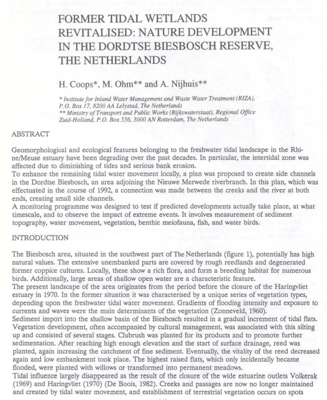# **FORMER TIDAL WETLANDS REVITALISED: NATURE DEVELOPMENT**  IN **THE DORDTSE BIESBOSCH RESERVE, THE NETHERLANDS**

# **H.** Coops\*, M. Ohm\*\* and A. Nijhuis\*\*

 $*$  *Institute for Inland Water Management and Waste Water Treatment (RIZA), P. 0. Box 17, 8200 AA Lelystad. The Netherlands*  •• *Ministry of Transportand Pub/ie Works (Rijkswaterstaat), Regional Office Zuid-Holland, P.O. Box 556, 3000 AN Rotterdam, The Netherlands* 

#### ABSTRA *Cf*

Geomorphological and ecological features belonging to the freshwater tidal landscape in the Rhine/Meuse estuary have been degrading over the past decades. In particular, the intertidal zone was affected due to diminishing of tides and serious bank erosion.

To enhance the remaining tidal water movement locally, a plan was proposed to create side channels in the Dordtse Biesbosch, an area adjoining the Nieuwe Merwede riverbranch. In this plan, which was effectuated in the course of 1992, a connection was made between the creeks and the river at both ends, creating small side channels.

A monitoring programme was designed to test if predicted developments actually take place, at what timescale, and to observe the impact of extreme events. lt involves measurement of sediment topography, water movement, vegetation, bentbic meiofauna, fish, and water birds.

#### **INTRODUCTION**

The Biesbosch area, situated in the southwest part of The Netherlands (figure 1), potentially has high natural values. The extensive unembanked parts are covered by rough reedlands and degenerated former coppice cultures. Locally, these show a rich flora, and form a breeding habitat for numerous birds. Additionally, large areas of shallow open water are a characteristic feature.

The present landscape of the area originates from the period before the ciosure of the Haringvliet estuary in 1970. In the former situation it was characterised by a unique series of vegetation types, depending upon the freshwater tidal water movement Gradients of flooding intensity and exposure to currents and waves were the main determinants of the vegetation (Zonneveld, 1960).

Sediment import into the shallow basin of the Biesbosch resulted in a gradual increment of tidal flats. Vegetation development, often accompanied by cultural management, was associated with this silting up and consisted of several stages. Oubrush was planted for its products and to promote further sedimentation. After reaching high enough elevation and the start of surface drainage, reed was planted, again increasing the catchment of fine sediment. Eventually, the vitality of the reed decreased again and low embankment took place. The highest raised flats, which only incidentally became flooded, were planted with willows or transformed into permanent meadows.

Tidal influence largely disappeared as the result of the ciosure of the wide estuarine outiets Volkerak (1969) and Haringvliet (1970) (De Boois, 1982). Creeks and passages are now no Jonger maintained and created by tidal water movement, and establishment of terrestrial vegetation occurs on spots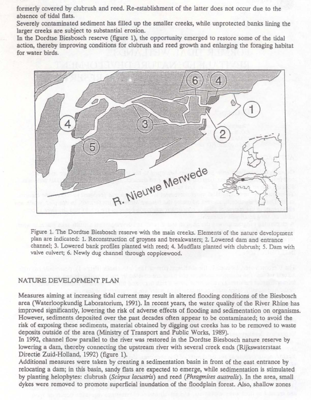formerly covered by clubrush and reed. Re-establishment of the Jatter does not occur due to the absence of tidal flats.

Severely contaminated sediment has filled up the smaller creeks, while unprotected banks lining the larger creeks are subject to substantial erosion.

In the Dordtse Biesbosch reserve (figure 1), the opportunity emerged to restore some of the tidal action, thereby improving conditions for clubrush and reed growth and enlarging the foraging habitat for water birds.



Figure 1. The Dordtse Biesbosch reserve with the main creeks. Elements of the nature development plan are indicated: 1. Reconstruction of groynes and breakwaters; 2. Lowered dam and entrance channel; 3. Lowered bank profiles planted with reed; 4. Mudflats planred with clubrush; *5.* Dam with valve culvert; 6. Newly dug channel through coppicewood.

# NATURE DEVELOPMENT PLAN

Measures aiming at increasing tidal current may result in allered flooding conditions of the Biesbosch area (Waterloopkundig Laboratorium, 1991). In recent years, the water quality of the River Rhine has improved significantly, lowering the risk of adverse effects of flooding and sedimentation on organisms. However, sediments deposited over the past decades often appear to be contaminated; to avoid the risk of exposing these sediments, material obtained by digging out creeks has to be removed to waste deposits outside of the area (Ministry of Transport and Public Works, 1989).

In 1992, channel flow parallel to the river was restored in the Dordtse Biesbosch nature reserve by lowering a dam, thereby connecting the upstream river with several creek ends (Rijkswaterstaat Directie Zuid-Holland, 1992) (figure 1).

Additional measures were taken by creating a sedimentation basin in front of the east entrance by relocating a dam; in this basin, sandy flats are expected to emerge, while sedimentation is stimulated by planting belophytes: clubrush *(Scitpus lacustris)* and reed *(Phragmûes australis).* In the area, small dykes were removed to promote superficial inundation of the floodplain forest. Also, shallow zones